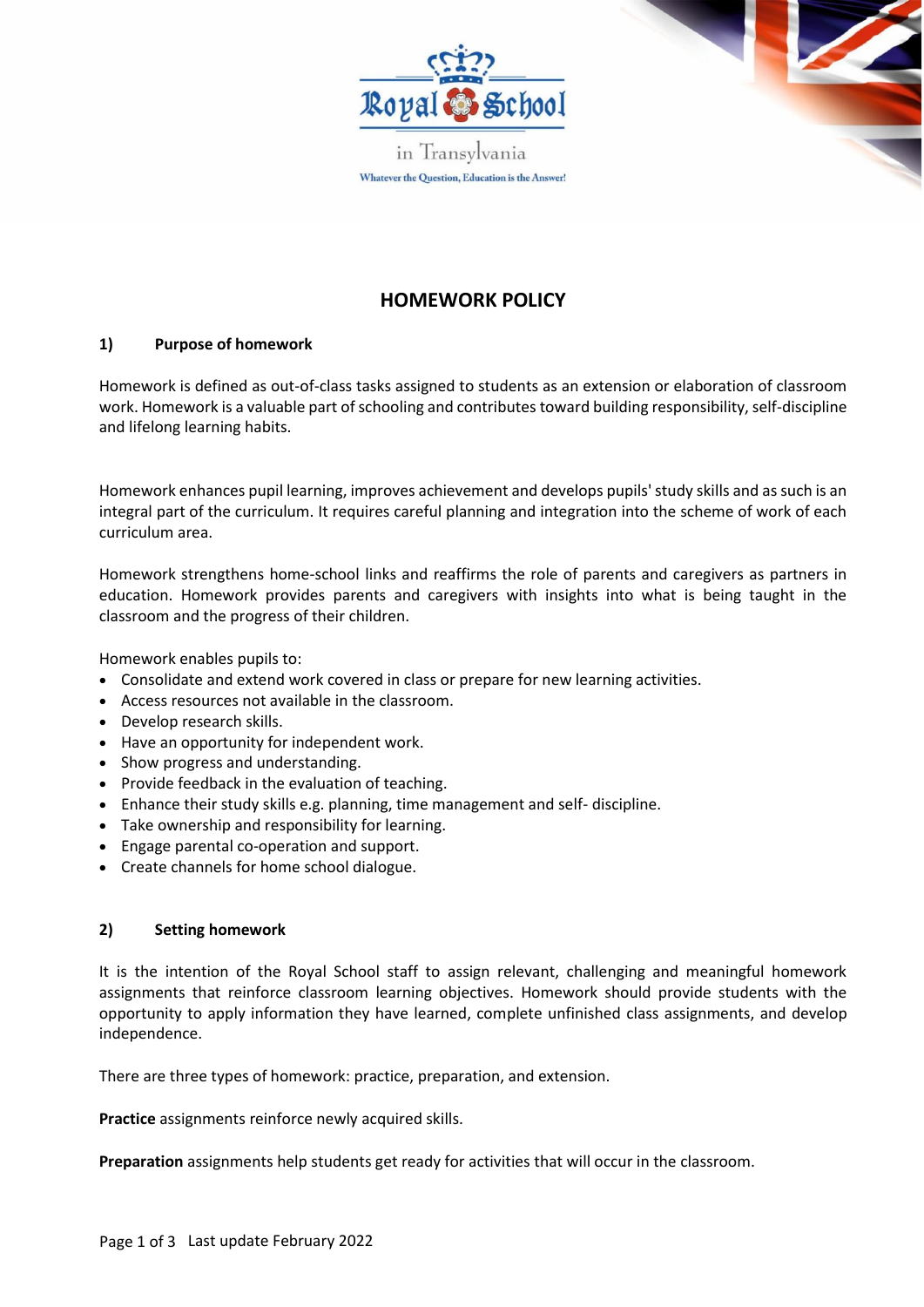

in Transylvania Whatever the Question, Education is the Answer!

# **HOMEWORK POLICY**

# **1) Purpose of homework**

Homework is defined as out-of-class tasks assigned to students as an extension or elaboration of classroom work. Homework is a valuable part of schooling and contributes toward building responsibility, self-discipline and lifelong learning habits.

Homework enhances pupil learning, improves achievement and develops pupils' study skills and as such is an integral part of the curriculum. It requires careful planning and integration into the scheme of work of each curriculum area.

Homework strengthens home-school links and reaffirms the role of parents and caregivers as partners in education. Homework provides parents and caregivers with insights into what is being taught in the classroom and the progress of their children.

Homework enables pupils to:

- Consolidate and extend work covered in class or prepare for new learning activities.
- Access resources not available in the classroom.
- Develop research skills.
- Have an opportunity for independent work.
- Show progress and understanding.
- Provide feedback in the evaluation of teaching.
- Enhance their study skills e.g. planning, time management and self- discipline.
- Take ownership and responsibility for learning.
- Engage parental co-operation and support.
- Create channels for home school dialogue.

### **2) Setting homework**

It is the intention of the Royal School staff to assign relevant, challenging and meaningful homework assignments that reinforce classroom learning objectives. Homework should provide students with the opportunity to apply information they have learned, complete unfinished class assignments, and develop independence.

There are three types of homework: practice, preparation, and extension.

**Practice** assignments reinforce newly acquired skills.

**Preparation** assignments help students get ready for activities that will occur in the classroom.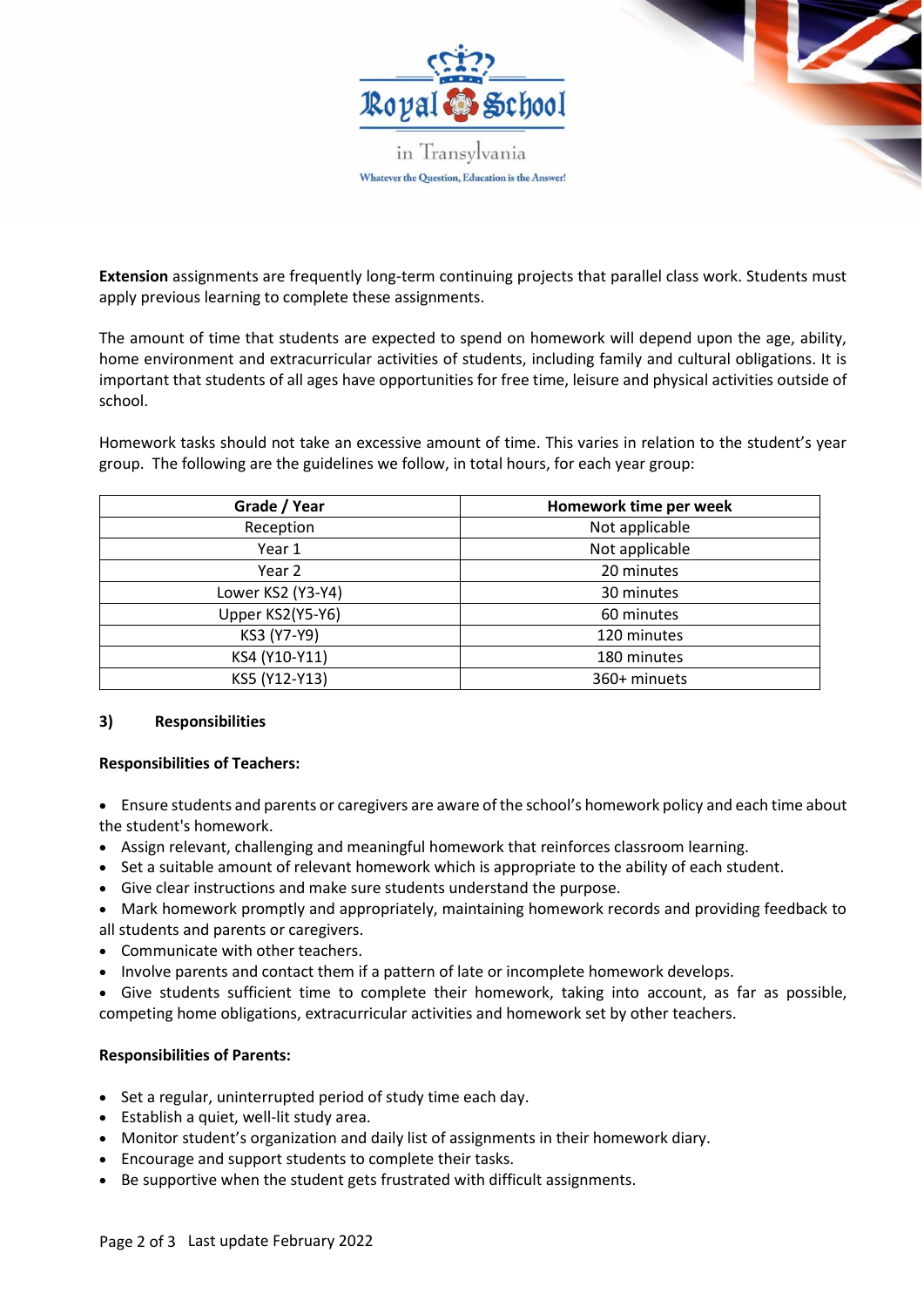

**Extension** assignments are frequently long-term continuing projects that parallel class work. Students must apply previous learning to complete these assignments.

The amount of time that students are expected to spend on homework will depend upon the age, ability, home environment and extracurricular activities of students, including family and cultural obligations. It is important that students of all ages have opportunities for free time, leisure and physical activities outside of school.

Homework tasks should not take an excessive amount of time. This varies in relation to the student's year group. The following are the guidelines we follow, in total hours, for each year group:

| Grade / Year      | Homework time per week |
|-------------------|------------------------|
| Reception         | Not applicable         |
| Year 1            | Not applicable         |
| Year 2            | 20 minutes             |
| Lower KS2 (Y3-Y4) | 30 minutes             |
| Upper KS2(Y5-Y6)  | 60 minutes             |
| KS3 (Y7-Y9)       | 120 minutes            |
| KS4 (Y10-Y11)     | 180 minutes            |
| KS5 (Y12-Y13)     | 360+ minuets           |

### **3) Responsibilities**

### **Responsibilities of Teachers:**

- Ensure students and parents or caregivers are aware of the school's homework policy and each time about the student's homework.
- Assign relevant, challenging and meaningful homework that reinforces classroom learning.
- Set a suitable amount of relevant homework which is appropriate to the ability of each student.
- Give clear instructions and make sure students understand the purpose.
- Mark homework promptly and appropriately, maintaining homework records and providing feedback to all students and parents or caregivers.
- Communicate with other teachers.
- Involve parents and contact them if a pattern of late or incomplete homework develops.

• Give students sufficient time to complete their homework, taking into account, as far as possible, competing home obligations, extracurricular activities and homework set by other teachers.

### **Responsibilities of Parents:**

- Set a regular, uninterrupted period of study time each day.
- Establish a quiet, well-lit study area.
- Monitor student's organization and daily list of assignments in their homework diary.
- Encourage and support students to complete their tasks.
- Be supportive when the student gets frustrated with difficult assignments.